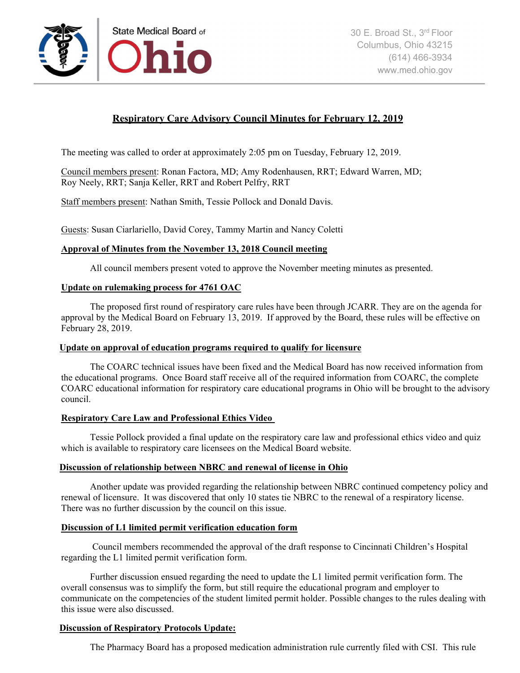

# **Respiratory Care Advisory Council Minutes for February 12, 2019**

The meeting was called to order at approximately 2:05 pm on Tuesday, February 12, 2019.

Council members present: Ronan Factora, MD; Amy Rodenhausen, RRT; Edward Warren, MD; Roy Neely, RRT; Sanja Keller, RRT and Robert Pelfry, RRT

Staff members present: Nathan Smith, Tessie Pollock and Donald Davis.

Guests: Susan Ciarlariello, David Corey, Tammy Martin and Nancy Coletti

## **Approval of Minutes from the November 13, 2018 Council meeting**

All council members present voted to approve the November meeting minutes as presented.

## **Update on rulemaking process for 4761 OAC**

The proposed first round of respiratory care rules have been through JCARR. They are on the agenda for approval by the Medical Board on February 13, 2019. If approved by the Board, these rules will be effective on February 28, 2019.

## **Update on approval of education programs required to qualify for licensure**

 The COARC technical issues have been fixed and the Medical Board has now received information from the educational programs. Once Board staff receive all of the required information from COARC, the complete COARC educational information for respiratory care educational programs in Ohio will be brought to the advisory council.

## **Respiratory Care Law and Professional Ethics Video**

 Tessie Pollock provided a final update on the respiratory care law and professional ethics video and quiz which is available to respiratory care licensees on the Medical Board website.

## **Discussion of relationship between NBRC and renewal of license in Ohio**

Another update was provided regarding the relationship between NBRC continued competency policy and renewal of licensure. It was discovered that only 10 states tie NBRC to the renewal of a respiratory license. There was no further discussion by the council on this issue.

## **Discussion of L1 limited permit verification education form**

 Council members recommended the approval of the draft response to Cincinnati Children's Hospital regarding the L1 limited permit verification form.

 Further discussion ensued regarding the need to update the L1 limited permit verification form. The overall consensus was to simplify the form, but still require the educational program and employer to communicate on the competencies of the student limited permit holder. Possible changes to the rules dealing with this issue were also discussed.

## **Discussion of Respiratory Protocols Update:**

The Pharmacy Board has a proposed medication administration rule currently filed with CSI. This rule